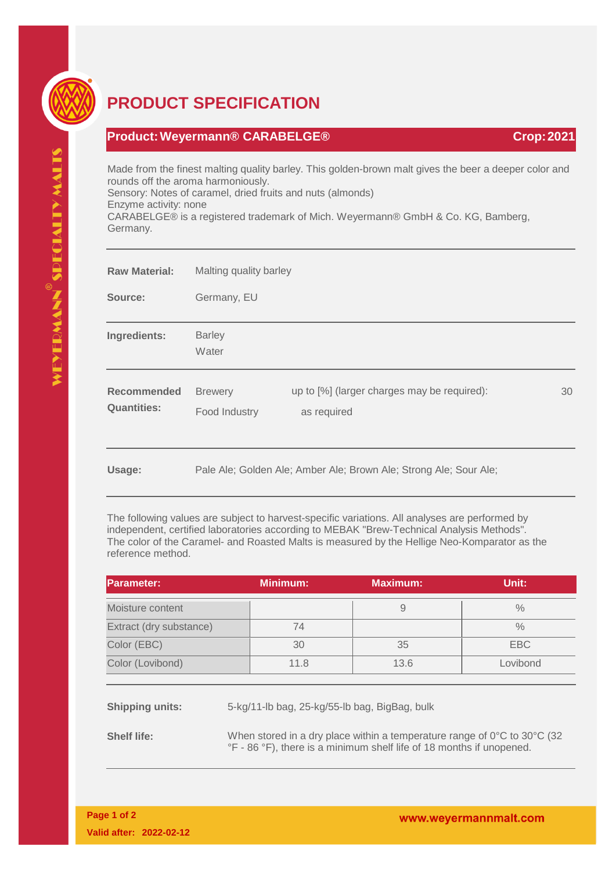

## **PRODUCT SPECIFICATION**

## **Product:Weyermann® CARABELGE® Crop:2021**

Made from the finest malting quality barley. This golden-brown malt gives the beer a deeper color and rounds off the aroma harmoniously. Sensory: Notes of caramel, dried fruits and nuts (almonds)

Enzyme activity: none

CARABELGE® is a registered trademark of Mich. Weyermann® GmbH & Co. KG, Bamberg, Germany.

| <b>Raw Material:</b>                     | Malting quality barley          |                                                                   |    |
|------------------------------------------|---------------------------------|-------------------------------------------------------------------|----|
| Source:                                  | Germany, EU                     |                                                                   |    |
| Ingredients:                             | <b>Barley</b><br>Water          |                                                                   |    |
| <b>Recommended</b><br><b>Quantities:</b> | <b>Brewery</b><br>Food Industry | up to [%] (larger charges may be required):<br>as required        | 30 |
| Usage:                                   |                                 | Pale Ale; Golden Ale; Amber Ale; Brown Ale; Strong Ale; Sour Ale; |    |

The following values are subject to harvest-specific variations. All analyses are performed by independent, certified laboratories according to MEBAK "Brew-Technical Analysis Methods". The color of the Caramel- and Roasted Malts is measured by the Hellige Neo-Komparator as the reference method.

| <b>Parameter:</b>       | <b>Minimum:</b> | <b>Maximum:</b> | Unit:    |
|-------------------------|-----------------|-----------------|----------|
| Moisture content        |                 |                 | $\%$     |
| Extract (dry substance) | 74              |                 | $\%$     |
| Color (EBC)             | 30              | 35              | EBC      |
| Color (Lovibond)        | 11.8            | 13.6            | Lovibond |

**Shipping units:** 5-kg/11-lb bag, 25-kg/55-lb bag, BigBag, bulk

**Shelf life:** When stored in a dry place within a temperature range of 0°C to 30°C (32) °F - 86 °F), there is a minimum shelf life of 18 months if unopened.